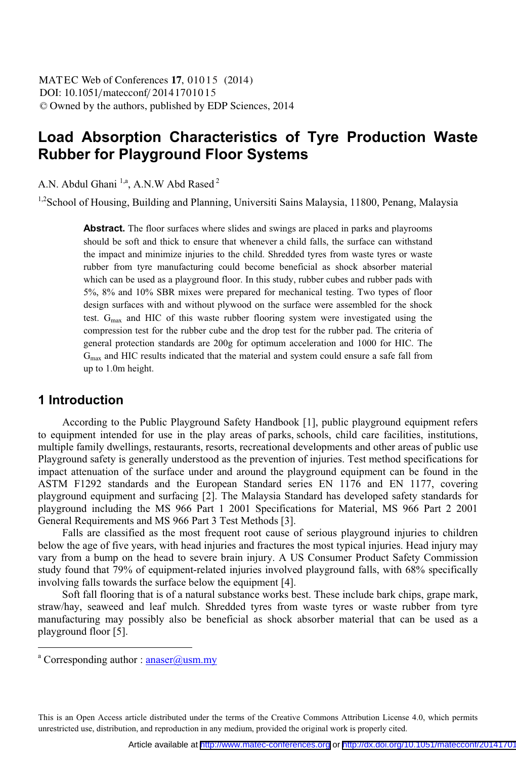# **Load Absorption Characteristics of Tyre Production Waste Rubber for Playground Floor Systems**

A.N. Abdul Ghani <sup>1,a</sup>, A.N.W Abd Rased <sup>2</sup>

<sup>1,2</sup>School of Housing, Building and Planning, Universiti Sains Malaysia, 11800, Penang, Malaysia

**Abstract.** The floor surfaces where slides and swings are placed in parks and playrooms should be soft and thick to ensure that whenever a child falls, the surface can withstand the impact and minimize injuries to the child. Shredded tyres from waste tyres or waste rubber from tyre manufacturing could become beneficial as shock absorber material which can be used as a playground floor. In this study, rubber cubes and rubber pads with 5%, 8% and 10% SBR mixes were prepared for mechanical testing. Two types of floor design surfaces with and without plywood on the surface were assembled for the shock test.  $G<sub>max</sub>$  and HIC of this waste rubber flooring system were investigated using the compression test for the rubber cube and the drop test for the rubber pad. The criteria of general protection standards are 200g for optimum acceleration and 1000 for HIC. The Gmax and HIC results indicated that the material and system could ensure a safe fall from up to 1.0m height.

## **1 Introduction**

 $\overline{a}$ 

According to the Public Playground Safety Handbook [1], public playground equipment refers to equipment intended for use in the play areas of parks, schools, child care facilities, institutions, multiple family dwellings, restaurants, resorts, recreational developments and other areas of public use Playground safety is generally understood as the prevention of injuries. Test method specifications for impact attenuation of the surface under and around the playground equipment can be found in the ASTM F1292 standards and the European Standard series EN 1176 and EN 1177, covering playground equipment and surfacing [2]. The Malaysia Standard has developed safety standards for playground including the MS 966 Part 1 2001 Specifications for Material, MS 966 Part 2 2001 General Requirements and MS 966 Part 3 Test Methods [3].

Falls are classified as the most frequent root cause of serious playground injuries to children below the age of five years, with head injuries and fractures the most typical injuries. Head injury may vary from a bump on the head to severe brain injury. A US Consumer Product Safety Commission study found that 79% of equipment-related injuries involved playground falls, with 68% specifically involving falls towards the surface below the equipment [4].

 Soft fall flooring that is of a natural substance works best. These include bark chips, grape mark, straw/hay, seaweed and leaf mulch. Shredded tyres from waste tyres or waste rubber from tyre manufacturing may possibly also be beneficial as shock absorber material that can be used as a playground floor [5].

This is an Open Access article distributed under the terms of the Creative Commons Attribution License 4.0, which permits unrestricted use, distribution, and reproduction in any medium, provided the original work is properly cited.

<sup>&</sup>lt;sup>a</sup> Corresponding author : **anaser@usm.my**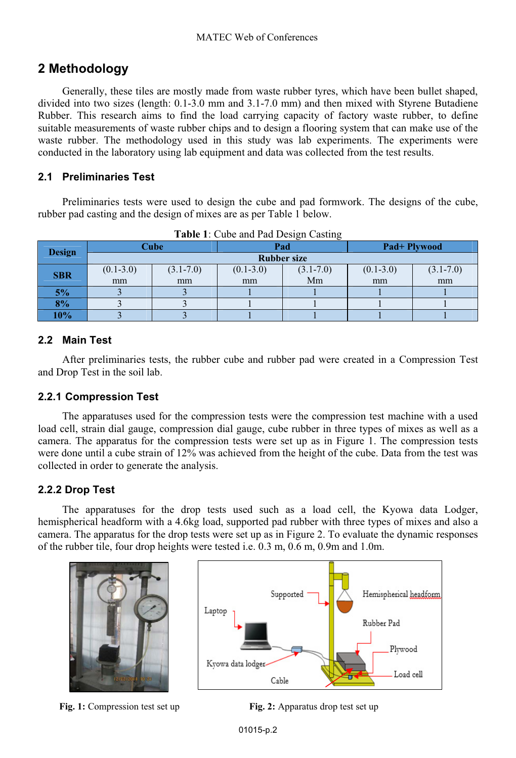# **2 Methodology**

Generally, these tiles are mostly made from waste rubber tyres, which have been bullet shaped, divided into two sizes (length: 0.1-3.0 mm and 3.1-7.0 mm) and then mixed with Styrene Butadiene Rubber. This research aims to find the load carrying capacity of factory waste rubber, to define suitable measurements of waste rubber chips and to design a flooring system that can make use of the waste rubber. The methodology used in this study was lab experiments. The experiments were conducted in the laboratory using lab equipment and data was collected from the test results.

#### **2.1 Preliminaries Test**

Preliminaries tests were used to design the cube and pad formwork. The designs of the cube, rubber pad casting and the design of mixes are as per Table 1 below.

| <b>Design</b> | Cube               |               | Pad           |               | Pad+ Plywood  |               |  |
|---------------|--------------------|---------------|---------------|---------------|---------------|---------------|--|
|               | <b>Rubber size</b> |               |               |               |               |               |  |
| <b>SBR</b>    | $(0.1 - 3.0)$      | $(3.1 - 7.0)$ | $(0.1 - 3.0)$ | $(3.1 - 7.0)$ | $(0.1 - 3.0)$ | $(3.1 - 7.0)$ |  |
|               | mm                 | mm            | mm            | Mm            | mm            | mm            |  |
| 5%            |                    |               |               |               |               |               |  |
| 8%            |                    |               |               |               |               |               |  |
| 10%           |                    |               |               |               |               |               |  |

**Table 1**: Cube and Pad Design Casting

#### **2.2 Main Test**

After preliminaries tests, the rubber cube and rubber pad were created in a Compression Test and Drop Test in the soil lab.

### **2.2.1 Compression Test**

The apparatuses used for the compression tests were the compression test machine with a used load cell, strain dial gauge, compression dial gauge, cube rubber in three types of mixes as well as a camera. The apparatus for the compression tests were set up as in Figure 1. The compression tests were done until a cube strain of 12% was achieved from the height of the cube. Data from the test was collected in order to generate the analysis.

### **2.2.2 Drop Test**

The apparatuses for the drop tests used such as a load cell, the Kyowa data Lodger, hemispherical headform with a 4.6kg load, supported pad rubber with three types of mixes and also a camera. The apparatus for the drop tests were set up as in Figure 2. To evaluate the dynamic responses of the rubber tile, four drop heights were tested i.e. 0.3 m, 0.6 m, 0.9m and 1.0m.





**Fig. 1:** Compression test set up **Fig. 2:** Apparatus drop test set up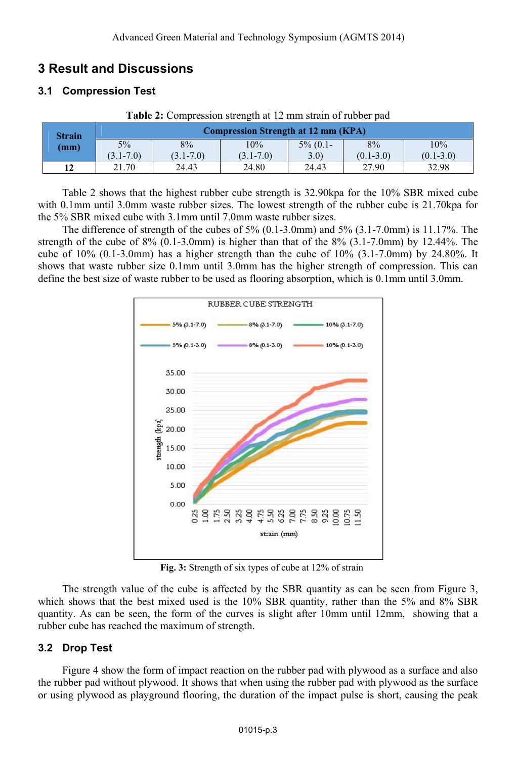# **3 Result and Discussions**

### **3.1 Compression Test**

| <b>Strain</b><br>(mm) | <b>Table 2.</b> Complession such all at 12 min sugnit of fuoder bad<br><b>Compression Strength at 12 mm (KPA)</b> |               |               |             |               |               |  |
|-----------------------|-------------------------------------------------------------------------------------------------------------------|---------------|---------------|-------------|---------------|---------------|--|
|                       | $5\%$                                                                                                             | 8%            | 10%           | $5\%$ (0.1- | 8%            | 10%           |  |
|                       | $(3.1 - 7.0)$                                                                                                     | $(3.1 - 7.0)$ | $(3.1 - 7.0)$ | 3.0)        | $(0.1 - 3.0)$ | $(0.1 - 3.0)$ |  |
|                       | 21.70                                                                                                             | 24.43         | 24.80         | 24.43       | 27.90         | 32.98         |  |

**Table 2:** Compression strength at 12 mm strain of rubber pad

Table 2 shows that the highest rubber cube strength is 32.90kpa for the 10% SBR mixed cube with 0.1mm until 3.0mm waste rubber sizes. The lowest strength of the rubber cube is 21.70kpa for the 5% SBR mixed cube with 3.1mm until 7.0mm waste rubber sizes.

The difference of strength of the cubes of  $5\%$  (0.1-3.0mm) and  $5\%$  (3.1-7.0mm) is 11.17%. The strength of the cube of  $8\%$  (0.1-3.0mm) is higher than that of the  $8\%$  (3.1-7.0mm) by 12.44%. The cube of  $10\%$  (0.1-3.0mm) has a higher strength than the cube of  $10\%$  (3.1-7.0mm) by 24.80%. It shows that waste rubber size 0.1mm until 3.0mm has the higher strength of compression. This can define the best size of waste rubber to be used as flooring absorption, which is 0.1mm until 3.0mm.



**Fig. 3:** Strength of six types of cube at 12% of strain

The strength value of the cube is affected by the SBR quantity as can be seen from Figure 3, which shows that the best mixed used is the 10% SBR quantity, rather than the 5% and 8% SBR quantity. As can be seen, the form of the curves is slight after 10mm until 12mm, showing that a rubber cube has reached the maximum of strength.

## **3.2 Drop Test**

Figure 4 show the form of impact reaction on the rubber pad with plywood as a surface and also the rubber pad without plywood. It shows that when using the rubber pad with plywood as the surface or using plywood as playground flooring, the duration of the impact pulse is short, causing the peak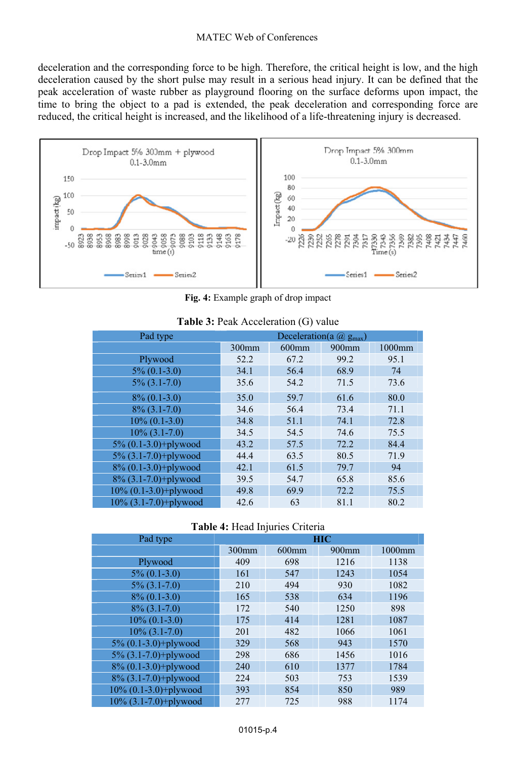#### MATEC Web of Conferences

deceleration and the corresponding force to be high. Therefore, the critical height is low, and the high deceleration caused by the short pulse may result in a serious head injury. It can be defined that the peak acceleration of waste rubber as playground flooring on the surface deforms upon impact, the time to bring the object to a pad is extended, the peak deceleration and corresponding force are reduced, the critical height is increased, and the likelihood of a life-threatening injury is decreased.



**Fig. 4:** Example graph of drop impact

| Pad type                 | Deceleration(a $@$ g <sub>max</sub> ) |          |       |        |
|--------------------------|---------------------------------------|----------|-------|--------|
|                          | 300mm                                 | $600$ mm | 900mm | 1000mm |
| Plywood                  | 52.2                                  | 67.2     | 99.2  | 95.1   |
| $5\% (0.1-3.0)$          | 34.1                                  | 56.4     | 68.9  | 74     |
| $5\%$ (3.1-7.0)          | 35.6                                  | 54.2     | 71.5  | 73.6   |
| $8\% (0.1-3.0)$          | 35.0                                  | 59.7     | 61.6  | 80.0   |
| $8\%$ (3.1-7.0)          | 34.6                                  | 56.4     | 73.4  | 71.1   |
| $10\% (0.1-3.0)$         | 34.8                                  | 51.1     | 74.1  | 72.8   |
| $10\%$ (3.1-7.0)         | 34.5                                  | 54.5     | 74.6  | 75.5   |
| $5\% (0.1-3.0)$ +plywood | 43.2                                  | 57.5     | 72.2  | 84.4   |
| $5\%$ (3.1-7.0)+plywood  | 44.4                                  | 63.5     | 80.5  | 71.9   |
| 8% (0.1-3.0)+plywood     | 42.1                                  | 61.5     | 79.7  | 94     |
| $8\%$ (3.1-7.0)+plywood  | 39.5                                  | 54.7     | 65.8  | 85.6   |
| 10% (0.1-3.0)+plywood    | 49.8                                  | 69.9     | 72.2  | 75.5   |
| $10\%$ (3.1-7.0)+plywood | 42.6                                  | 63       | 81.1  | 80.2   |

#### **Table 3:** Peak Acceleration (G) value

**Table 4:** Head Injuries Criteria

| J                        |            |          |                   |        |  |  |
|--------------------------|------------|----------|-------------------|--------|--|--|
| Pad type                 | <b>HIC</b> |          |                   |        |  |  |
|                          | 300mm      | $600$ mm | 900 <sub>mm</sub> | 1000mm |  |  |
| Plywood                  | 409        | 698      | 1216              | 1138   |  |  |
| $5\% (0.1-3.0)$          | 161        | 547      | 1243              | 1054   |  |  |
| $5\%$ (3.1-7.0)          | 210        | 494      | 930               | 1082   |  |  |
| $8\%$ (0.1-3.0)          | 165        | 538      | 634               | 1196   |  |  |
| $8\%$ (3.1-7.0)          | 172        | 540      | 1250              | 898    |  |  |
| $10\% (0.1-3.0)$         | 175        | 414      | 1281              | 1087   |  |  |
| $10\%$ (3.1-7.0)         | 201        | 482      | 1066              | 1061   |  |  |
| 5% (0.1-3.0)+plywood     | 329        | 568      | 943               | 1570   |  |  |
| $5\%$ (3.1-7.0)+plywood  | 298        | 686      | 1456              | 1016   |  |  |
| 8% (0.1-3.0)+plywood     | 240        | 610      | 1377              | 1784   |  |  |
| 8% (3.1-7.0)+plywood     | 224        | 503      | 753               | 1539   |  |  |
| $10\%$ (0.1-3.0)+plywood | 393        | 854      | 850               | 989    |  |  |
| 10% (3.1-7.0)+plywood    | 277        | 725      | 988               | 1174   |  |  |